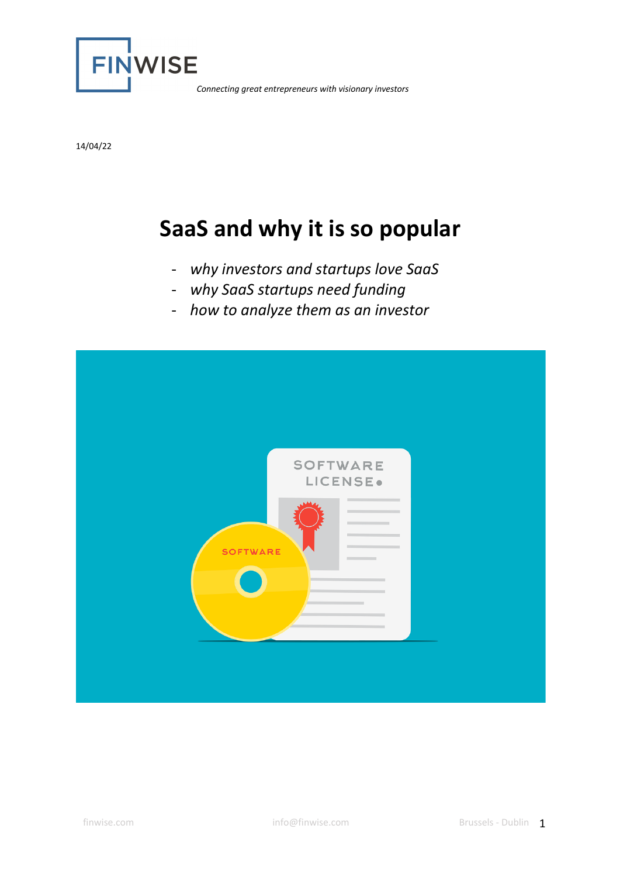

14/04/22

# **SaaS and why it is so popular**

- *why investors and startups love SaaS*
- *why SaaS startups need funding*
- *how to analyze them as an investor*

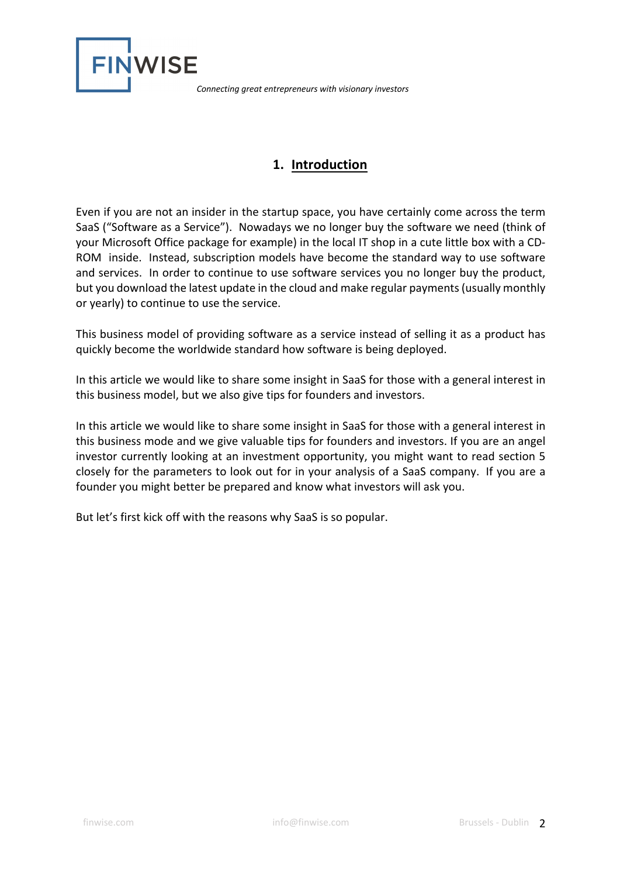

## **1. Introduction**

Even if you are not an insider in the startup space, you have certainly come across the term SaaS ("Software as a Service"). Nowadays we no longer buy the software we need (think of your Microsoft Office package for example) in the local IT shop in a cute little box with a CD-ROM inside. Instead, subscription models have become the standard way to use software and services. In order to continue to use software services you no longer buy the product, but you download the latest update in the cloud and make regular payments (usually monthly or yearly) to continue to use the service.

This business model of providing software as a service instead of selling it as a product has quickly become the worldwide standard how software is being deployed.

In this article we would like to share some insight in SaaS for those with a general interest in this business model, but we also give tips for founders and investors.

In this article we would like to share some insight in SaaS for those with a general interest in this business mode and we give valuable tips for founders and investors. If you are an angel investor currently looking at an investment opportunity, you might want to read section 5 closely for the parameters to look out for in your analysis of a SaaS company. If you are a founder you might better be prepared and know what investors will ask you.

But let's first kick off with the reasons why SaaS is so popular.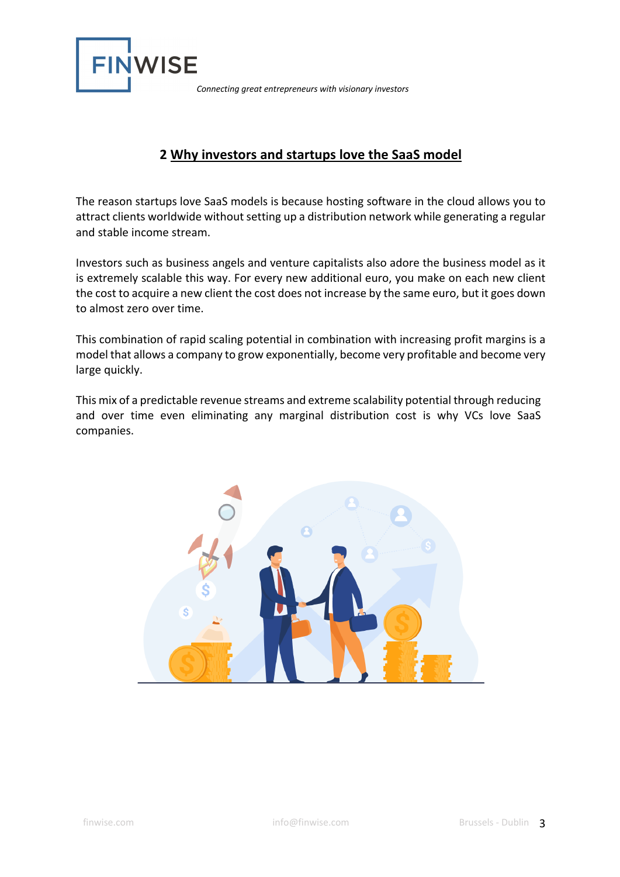

## **2 Why investors and startups love the SaaS model**

The reason startups love SaaS models is because hosting software in the cloud allows you to attract clients worldwide without setting up a distribution network while generating a regular and stable income stream.

Investors such as business angels and venture capitalists also adore the business model as it is extremely scalable this way. For every new additional euro, you make on each new client the cost to acquire a new client the cost does not increase by the same euro, but it goes down to almost zero over time.

This combination of rapid scaling potential in combination with increasing profit margins is a model that allows a company to grow exponentially, become very profitable and become very large quickly.

This mix of a predictable revenue streams and extreme scalability potential through reducing and over time even eliminating any marginal distribution cost is why VCs love SaaS companies.

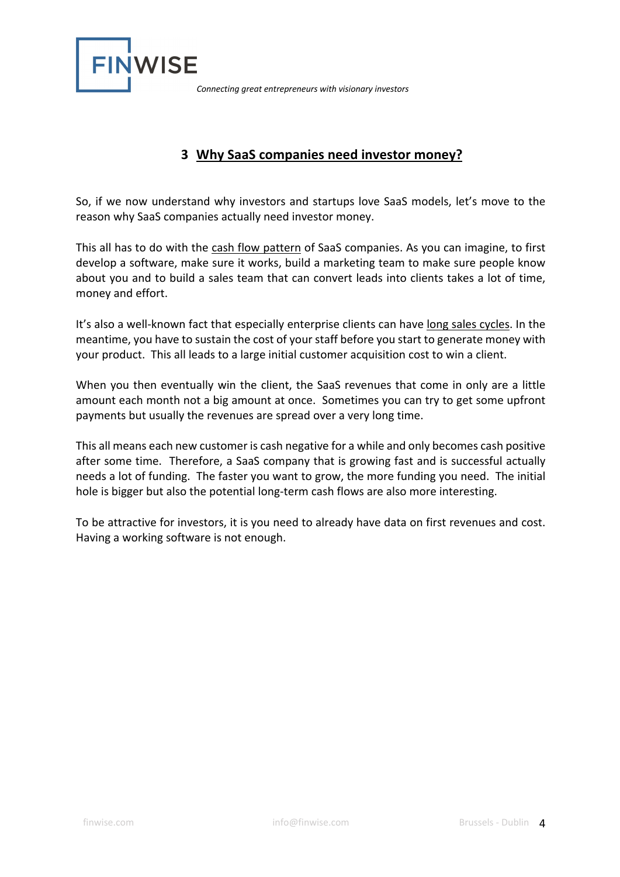

## **3 Why SaaS companies need investor money?**

So, if we now understand why investors and startups love SaaS models, let's move to the reason why SaaS companies actually need investor money.

This all has to do with the cash flow pattern of SaaS companies. As you can imagine, to first develop a software, make sure it works, build a marketing team to make sure people know about you and to build a sales team that can convert leads into clients takes a lot of time, money and effort.

It's also a well-known fact that especially enterprise clients can have long sales cycles. In the meantime, you have to sustain the cost of your staff before you start to generate money with your product. This all leads to a large initial customer acquisition cost to win a client.

When you then eventually win the client, the SaaS revenues that come in only are a little amount each month not a big amount at once. Sometimes you can try to get some upfront payments but usually the revenues are spread over a very long time.

This all means each new customer is cash negative for a while and only becomes cash positive after some time. Therefore, a SaaS company that is growing fast and is successful actually needs a lot of funding. The faster you want to grow, the more funding you need. The initial hole is bigger but also the potential long-term cash flows are also more interesting.

To be attractive for investors, it is you need to already have data on first revenues and cost. Having a working software is not enough.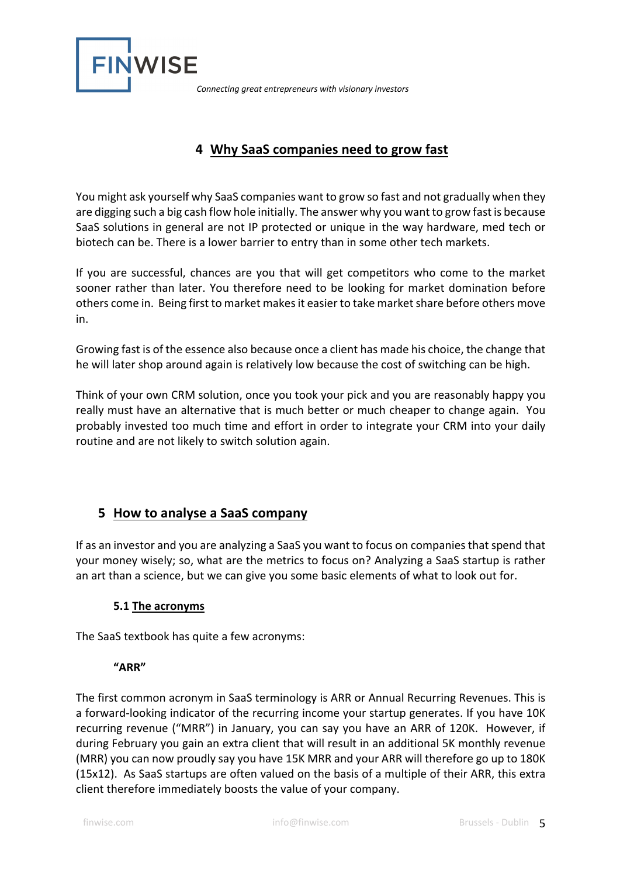

## **4 Why SaaS companies need to grow fast**

You might ask yourself why SaaS companies want to grow so fast and not gradually when they are digging such a big cash flow hole initially. The answer why you want to grow fast is because SaaS solutions in general are not IP protected or unique in the way hardware, med tech or biotech can be. There is a lower barrier to entry than in some other tech markets.

If you are successful, chances are you that will get competitors who come to the market sooner rather than later. You therefore need to be looking for market domination before others come in. Being first to market makes it easier to take market share before others move in.

Growing fast is of the essence also because once a client has made his choice, the change that he will later shop around again is relatively low because the cost of switching can be high.

Think of your own CRM solution, once you took your pick and you are reasonably happy you really must have an alternative that is much better or much cheaper to change again. You probably invested too much time and effort in order to integrate your CRM into your daily routine and are not likely to switch solution again.

## **5 How to analyse a SaaS company**

If as an investor and you are analyzing a SaaS you want to focus on companies that spend that your money wisely; so, what are the metrics to focus on? Analyzing a SaaS startup is rather an art than a science, but we can give you some basic elements of what to look out for.

#### **5.1 The acronyms**

The SaaS textbook has quite a few acronyms:

#### **"ARR"**

The first common acronym in SaaS terminology is ARR or Annual Recurring Revenues. This is a forward-looking indicator of the recurring income your startup generates. If you have 10K recurring revenue ("MRR") in January, you can say you have an ARR of 120K. However, if during February you gain an extra client that will result in an additional 5K monthly revenue (MRR) you can now proudly say you have 15K MRR and your ARR will therefore go up to 180K (15x12). As SaaS startups are often valued on the basis of a multiple of their ARR, this extra client therefore immediately boosts the value of your company.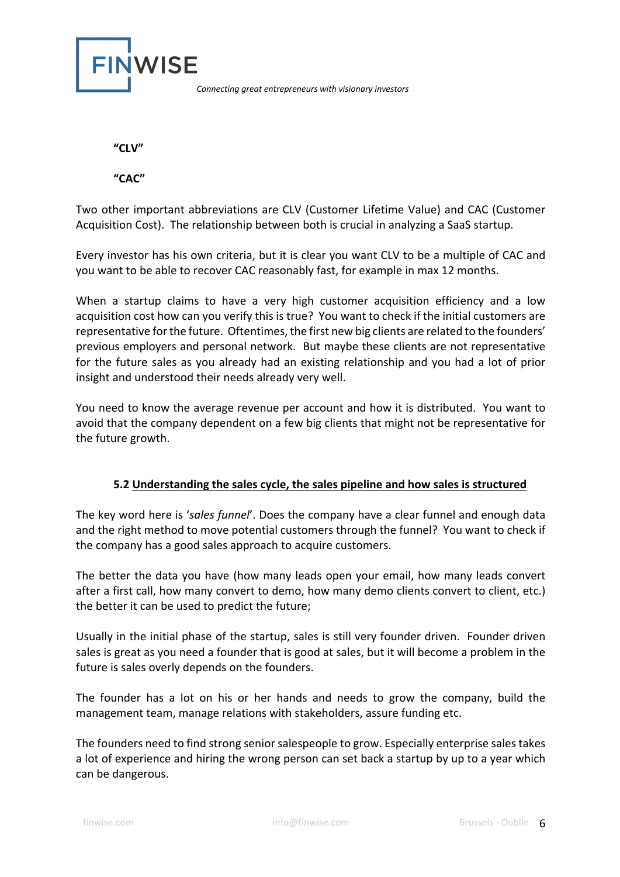

**"CLV"**

**"CAC"**

Two other important abbreviations are CLV (Customer Lifetime Value) and CAC (Customer Acquisition Cost). The relationship between both is crucial in analyzing a SaaS startup.

Every investor has his own criteria, but it is clear you want CLV to be a multiple of CAC and you want to be able to recover CAC reasonably fast, for example in max 12 months.

When a startup claims to have a very high customer acquisition efficiency and a low acquisition cost how can you verify this is true? You want to check if the initial customers are representative for the future. Oftentimes, the first new big clients are related to the founders' previous employers and personal network. But maybe these clients are not representative for the future sales as you already had an existing relationship and you had a lot of prior insight and understood their needs already very well.

You need to know the average revenue per account and how it is distributed. You want to avoid that the company dependent on a few big clients that might not be representative for the future growth.

#### **5.2 Understanding the sales cycle, the sales pipeline and how sales is structured**

The key word here is '*sales funnel*'. Does the company have a clear funnel and enough data and the right method to move potential customers through the funnel? You want to check if the company has a good sales approach to acquire customers.

The better the data you have (how many leads open your email, how many leads convert after a first call, how many convert to demo, how many demo clients convert to client, etc.) the better it can be used to predict the future;

Usually in the initial phase of the startup, sales is still very founder driven. Founder driven sales is great as you need a founder that is good at sales, but it will become a problem in the future is sales overly depends on the founders.

The founder has a lot on his or her hands and needs to grow the company, build the management team, manage relations with stakeholders, assure funding etc.

The founders need to find strong senior salespeople to grow. Especially enterprise sales takes a lot of experience and hiring the wrong person can set back a startup by up to a year which can be dangerous.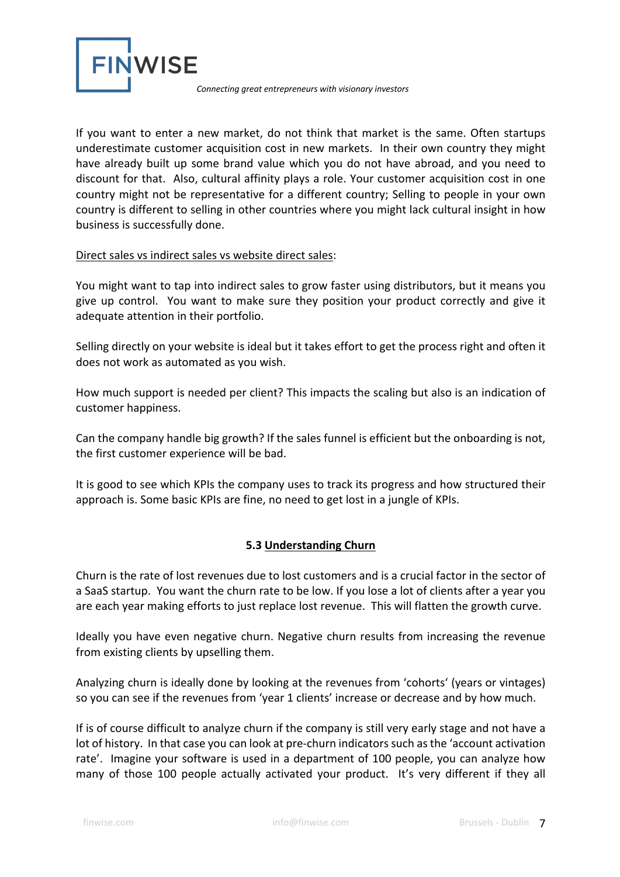

If you want to enter a new market, do not think that market is the same. Often startups underestimate customer acquisition cost in new markets. In their own country they might have already built up some brand value which you do not have abroad, and you need to discount for that. Also, cultural affinity plays a role. Your customer acquisition cost in one country might not be representative for a different country; Selling to people in your own country is different to selling in other countries where you might lack cultural insight in how business is successfully done.

#### Direct sales vs indirect sales vs website direct sales:

You might want to tap into indirect sales to grow faster using distributors, but it means you give up control. You want to make sure they position your product correctly and give it adequate attention in their portfolio.

Selling directly on your website is ideal but it takes effort to get the process right and often it does not work as automated as you wish.

How much support is needed per client? This impacts the scaling but also is an indication of customer happiness.

Can the company handle big growth? If the sales funnel is efficient but the onboarding is not, the first customer experience will be bad.

It is good to see which KPIs the company uses to track its progress and how structured their approach is. Some basic KPIs are fine, no need to get lost in a jungle of KPIs.

#### **5.3 Understanding Churn**

Churn is the rate of lost revenues due to lost customers and is a crucial factor in the sector of a SaaS startup. You want the churn rate to be low. If you lose a lot of clients after a year you are each year making efforts to just replace lost revenue. This will flatten the growth curve.

Ideally you have even negative churn. Negative churn results from increasing the revenue from existing clients by upselling them.

Analyzing churn is ideally done by looking at the revenues from 'cohorts' (years or vintages) so you can see if the revenues from 'year 1 clients' increase or decrease and by how much.

If is of course difficult to analyze churn if the company is still very early stage and not have a lot of history. In that case you can look at pre-churn indicators such as the 'account activation rate'. Imagine your software is used in a department of 100 people, you can analyze how many of those 100 people actually activated your product. It's very different if they all